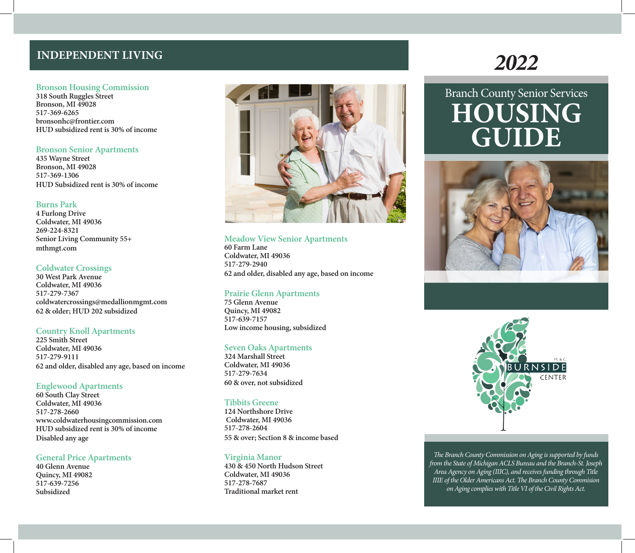# **INDEPENDENT LIVING**

#### **Bronson Housing Commission**

**318 South Ruggles Street Bronson, MI 49028 517-369-6265 bronsonhc@frontier.com HUD subsidized rent is 30% of income**

#### **Bronson Senior Apartments**

**435 Wayne Street Bronson, MI 49028 517-369-1306 HUD Subsidized rent is 30% of income**

#### **Burns Park**

**4 Furlong Drive Coldwater, MI 49036 269-224-8321 Senior Living Community 55+ mthmgt.com**

## **Coldwater Crossings**

**30 West Park Avenue Coldwater, MI 49036 517-279-7367 coldwatercrossings@medallionmgmt.com 62 & older; HUD 202 subsidized**

## **Country Knoll Apartments**

**225 Smith Street Coldwater, MI 49036 517-279-9111 62 and older, disabled any age, based on income**

## **Englewood Apartments**

**60 South Clay Street Coldwater, MI 49036 517-278-2660 www.coldwaterhousingcommission.com HUD subsidized rent is 30% of income Disabled any age**

## **General Price Apartments**

**40 Glenn Avenue Quincy, MI 49082 517-639-7256 Subsidized**



#### **Meadow View Senior Apartments**

**60 Farm Lane Coldwater, MI 49036 517-279-2940 62 and older, disabled any age, based on income**

## **Prairie Glenn Apartments**

**75 Glenn Avenue Quincy, MI 49082 517-639-7157 Low income housing, subsidized** 

#### **Seven Oaks Apartments**

**324 Marshall Street Coldwater, MI 49036 517-279-7634 60 & over, not subsidized**

## **Tibbits Greene**

**124 Northshore Drive Coldwater, MI 49036 517-278-2604 55 & over; Section 8 & income based**

## **Virginia Manor**

**430 & 450 North Hudson Street Coldwater, MI 49036 517-278-7687 Traditional market rent**

# *2022*

# Branch County Senior Services **HOUSING GUIDE**





*The Branch County Commission on Aging is supported by funds from the State of Michigan ACLS Bureau and the Branch-St. Joseph Area Agency on Aging (IIIC), and receives funding through Title IIIE of the Older Americans Act. The Branch County Commision on Aging complies with Title VI of the Civil Rights Act.*